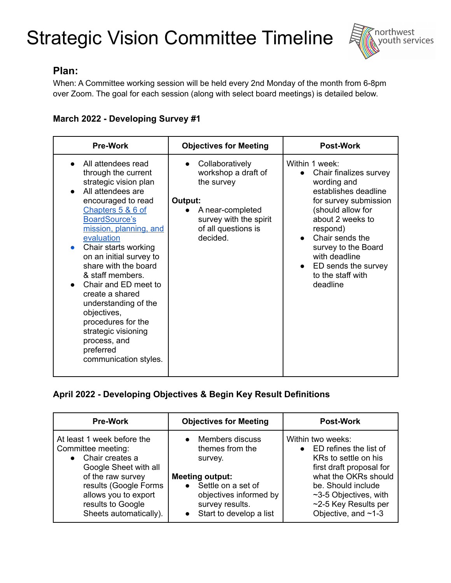

## **Plan:**

When: A Committee working session will be held every 2nd Monday of the month from 6-8pm over Zoom. The goal for each session (along with select board meetings) is detailed below.

## **March 2022 - Developing Survey #1**

| <b>Pre-Work</b>                                                                                                                                                                                                                                                                                                                                                                                                                                                                                     | <b>Objectives for Meeting</b>                                                                                                                    | <b>Post-Work</b>                                                                                                                                                                                                                                                                              |
|-----------------------------------------------------------------------------------------------------------------------------------------------------------------------------------------------------------------------------------------------------------------------------------------------------------------------------------------------------------------------------------------------------------------------------------------------------------------------------------------------------|--------------------------------------------------------------------------------------------------------------------------------------------------|-----------------------------------------------------------------------------------------------------------------------------------------------------------------------------------------------------------------------------------------------------------------------------------------------|
| All attendees read<br>through the current<br>strategic vision plan<br>All attendees are<br>encouraged to read<br>Chapters 5 & 6 of<br><b>BoardSource's</b><br>mission, planning, and<br>evaluation<br>Chair starts working<br>$\bullet$<br>on an initial survey to<br>share with the board<br>& staff members.<br>Chair and ED meet to<br>create a shared<br>understanding of the<br>objectives,<br>procedures for the<br>strategic visioning<br>process, and<br>preferred<br>communication styles. | Collaboratively<br>workshop a draft of<br>the survey<br>Output:<br>A near-completed<br>survey with the spirit<br>of all questions is<br>decided. | Within 1 week:<br>Chair finalizes survey<br>wording and<br>establishes deadline<br>for survey submission<br>(should allow for<br>about 2 weeks to<br>respond)<br>Chair sends the<br>survey to the Board<br>with deadline<br>ED sends the survey<br>$\bullet$<br>to the staff with<br>deadline |

#### **April 2022 - Developing Objectives & Begin Key Result Definitions**

| <b>Pre-Work</b>                                                                                                                                                                                                                | <b>Objectives for Meeting</b>                                                                                                                                         | <b>Post-Work</b>                                                                                                                                                                                                                |
|--------------------------------------------------------------------------------------------------------------------------------------------------------------------------------------------------------------------------------|-----------------------------------------------------------------------------------------------------------------------------------------------------------------------|---------------------------------------------------------------------------------------------------------------------------------------------------------------------------------------------------------------------------------|
| At least 1 week before the<br>Committee meeting:<br>Chair creates a<br>$\bullet$<br>Google Sheet with all<br>of the raw survey<br>results (Google Forms<br>allows you to export<br>results to Google<br>Sheets automatically). | Members discuss<br>themes from the<br>survey.<br><b>Meeting output:</b><br>Settle on a set of<br>objectives informed by<br>survey results.<br>Start to develop a list | Within two weeks:<br>• ED refines the list of<br>KRs to settle on his<br>first draft proposal for<br>what the OKRs should<br>be. Should include<br>$~1$ -3-5 Objectives, with<br>~2-5 Key Results per<br>Objective, and $~1$ -3 |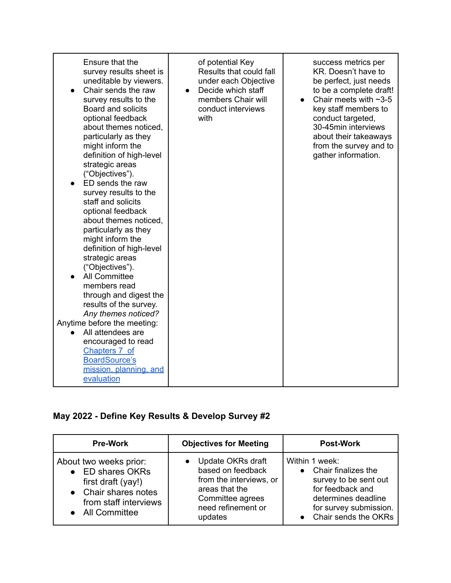| Ensure that the<br>survey results sheet is       | of potential Key<br>Results that could fall | success metrics per<br>KR. Doesn't have to             |
|--------------------------------------------------|---------------------------------------------|--------------------------------------------------------|
| uneditable by viewers.                           | under each Objective                        | be perfect, just needs                                 |
| Chair sends the raw<br>survey results to the     | Decide which staff<br>members Chair will    | to be a complete draft!<br>Chair meets with $\sim$ 3-5 |
| Board and solicits                               | conduct interviews                          | key staff members to                                   |
| optional feedback                                | with                                        | conduct targeted,                                      |
| about themes noticed,<br>particularly as they    |                                             | 30-45min interviews<br>about their takeaways           |
| might inform the                                 |                                             | from the survey and to                                 |
| definition of high-level                         |                                             | gather information.                                    |
| strategic areas<br>("Objectives").               |                                             |                                                        |
| ED sends the raw                                 |                                             |                                                        |
| survey results to the                            |                                             |                                                        |
| staff and solicits<br>optional feedback          |                                             |                                                        |
| about themes noticed.                            |                                             |                                                        |
| particularly as they                             |                                             |                                                        |
| might inform the                                 |                                             |                                                        |
| definition of high-level<br>strategic areas      |                                             |                                                        |
| ("Objectives").                                  |                                             |                                                        |
| <b>All Committee</b>                             |                                             |                                                        |
| members read<br>through and digest the           |                                             |                                                        |
| results of the survey.                           |                                             |                                                        |
| Any themes noticed?                              |                                             |                                                        |
| Anytime before the meeting:<br>All attendees are |                                             |                                                        |
| encouraged to read                               |                                             |                                                        |
| Chapters 7 of                                    |                                             |                                                        |
| <b>BoardSource's</b><br>mission, planning, and   |                                             |                                                        |
| evaluation                                       |                                             |                                                        |

# **May 2022 - Define Key Results & Develop Survey #2**

| <b>Pre-Work</b>                                                                                                                         | <b>Objectives for Meeting</b>                                                                                                              | <b>Post-Work</b>                                                                                                                                              |
|-----------------------------------------------------------------------------------------------------------------------------------------|--------------------------------------------------------------------------------------------------------------------------------------------|---------------------------------------------------------------------------------------------------------------------------------------------------------------|
| About two weeks prior:<br>ED shares OKRs<br>first draft (yay!)<br>• Chair shares notes<br>from staff interviews<br><b>All Committee</b> | • Update OKRs draft<br>based on feedback<br>from the interviews, or<br>areas that the<br>Committee agrees<br>need refinement or<br>updates | Within 1 week:<br>• Chair finalizes the<br>survey to be sent out<br>for feedback and<br>determines deadline<br>for survey submission.<br>Chair sends the OKRs |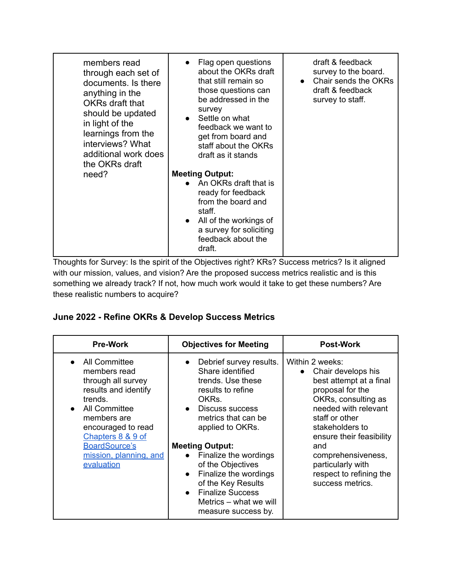| members read<br>through each set of<br>documents. Is there<br>anything in the<br><b>OKRs draft that</b><br>should be updated<br>in light of the<br>learnings from the<br>interviews? What<br>additional work does<br>the OKRs draft | Flag open questions<br>about the OKRs draft<br>that still remain so<br>those questions can<br>be addressed in the<br>survey<br>Settle on what<br>feedback we want to<br>get from board and<br>staff about the OKRs<br>draft as it stands | draft & feedback<br>survey to the board.<br>Chair sends the OKRs<br>draft & feedback<br>survey to staff. |
|-------------------------------------------------------------------------------------------------------------------------------------------------------------------------------------------------------------------------------------|------------------------------------------------------------------------------------------------------------------------------------------------------------------------------------------------------------------------------------------|----------------------------------------------------------------------------------------------------------|
| need?                                                                                                                                                                                                                               | <b>Meeting Output:</b><br>• An OKRs draft that is<br>ready for feedback<br>from the board and<br>staff.<br>All of the workings of<br>a survey for soliciting<br>feedback about the<br>draft.                                             |                                                                                                          |

Thoughts for Survey: Is the spirit of the Objectives right? KRs? Success metrics? Is it aligned with our mission, values, and vision? Are the proposed success metrics realistic and is this something we already track? If not, how much work would it take to get these numbers? Are these realistic numbers to acquire?

#### **June 2022 - Refine OKRs & Develop Success Metrics**

| <b>Pre-Work</b>                                                                                                                                                                                                                                                           | <b>Objectives for Meeting</b>                                                                                                                                                                                                                                                                                                                                | <b>Post-Work</b>                                                                                                                                                                                                                                                                                      |
|---------------------------------------------------------------------------------------------------------------------------------------------------------------------------------------------------------------------------------------------------------------------------|--------------------------------------------------------------------------------------------------------------------------------------------------------------------------------------------------------------------------------------------------------------------------------------------------------------------------------------------------------------|-------------------------------------------------------------------------------------------------------------------------------------------------------------------------------------------------------------------------------------------------------------------------------------------------------|
| <b>All Committee</b><br>$\bullet$<br>members read<br>through all survey<br>results and identify<br>trends.<br><b>All Committee</b><br>$\bullet$<br>members are<br>encouraged to read<br>Chapters 8 & 9 of<br><b>BoardSource's</b><br>mission, planning, and<br>evaluation | Debrief survey results.<br>Share identified<br>trends. Use these<br>results to refine<br>OKRs.<br>• Discuss success<br>metrics that can be<br>applied to OKRs.<br><b>Meeting Output:</b><br>Finalize the wordings<br>of the Objectives<br>Finalize the wordings<br>of the Key Results<br>• Finalize Success<br>Metrics – what we will<br>measure success by. | Within 2 weeks:<br>Chair develops his<br>best attempt at a final<br>proposal for the<br>OKRs, consulting as<br>needed with relevant<br>staff or other<br>stakeholders to<br>ensure their feasibility<br>and<br>comprehensiveness,<br>particularly with<br>respect to refining the<br>success metrics. |